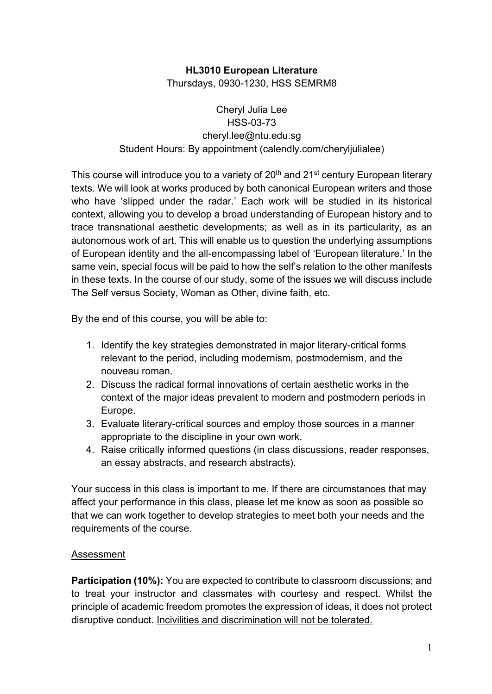# **HL3010 European Literature**

Thursdays, 0930-1230, HSS SEMRM8

## Cheryl Julia Lee HSS-03-73 cheryl.lee@ntu.edu.sg Student Hours: By appointment (calendly.com/cheryljulialee)

This course will introduce you to a variety of 20<sup>th</sup> and 21<sup>st</sup> century European literary texts. We will look at works produced by both canonical European writers and those who have 'slipped under the radar.' Each work will be studied in its historical context, allowing you to develop a broad understanding of European history and to trace transnational aesthetic developments; as well as in its particularity, as an autonomous work of art. This will enable us to question the underlying assumptions of European identity and the all-encompassing label of 'European literature.' In the same vein, special focus will be paid to how the self's relation to the other manifests in these texts. In the course of our study, some of the issues we will discuss include The Self versus Society, Woman as Other, divine faith, etc.

By the end of this course, you will be able to:

- 1. Identify the key strategies demonstrated in major literary-critical forms relevant to the period, including modernism, postmodernism, and the nouveau roman.
- 2. Discuss the radical formal innovations of certain aesthetic works in the context of the major ideas prevalent to modern and postmodern periods in Europe.
- 3. Evaluate literary-critical sources and employ those sources in a manner appropriate to the discipline in your own work.
- 4. Raise critically informed questions (in class discussions, reader responses, an essay abstracts, and research abstracts).

Your success in this class is important to me. If there are circumstances that may affect your performance in this class, please let me know as soon as possible so that we can work together to develop strategies to meet both your needs and the requirements of the course.

### Assessment

**Participation (10%):** You are expected to contribute to classroom discussions; and to treat your instructor and classmates with courtesy and respect. Whilst the principle of academic freedom promotes the expression of ideas, it does not protect disruptive conduct. Incivilities and discrimination will not be tolerated.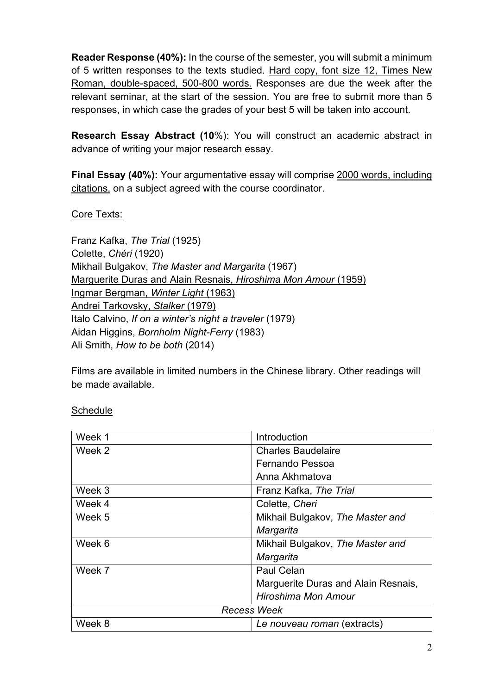**Reader Response (40%):** In the course of the semester, you will submit a minimum of 5 written responses to the texts studied. Hard copy, font size 12, Times New Roman, double-spaced, 500-800 words. Responses are due the week after the relevant seminar, at the start of the session. You are free to submit more than 5 responses, in which case the grades of your best 5 will be taken into account.

**Research Essay Abstract (10**%): You will construct an academic abstract in advance of writing your major research essay.

**Final Essay (40%):** Your argumentative essay will comprise 2000 words, including citations, on a subject agreed with the course coordinator.

### Core Texts:

Franz Kafka, *The Trial* (1925) Colette, *Chéri* (1920) Mikhail Bulgakov, *The Master and Margarita* (1967) Marguerite Duras and Alain Resnais, *Hiroshima Mon Amour* (1959) Ingmar Bergman, *Winter Light* (1963) Andrei Tarkovsky, *Stalker* (1979) Italo Calvino, *If on a winter's night a traveler* (1979) Aidan Higgins, *Bornholm Night-Ferry* (1983) Ali Smith, *How to be both* (2014)

Films are available in limited numbers in the Chinese library. Other readings will be made available.

#### **Schedule**

| Week 1             | Introduction                        |
|--------------------|-------------------------------------|
| Week 2             | <b>Charles Baudelaire</b>           |
|                    | Fernando Pessoa                     |
|                    | Anna Akhmatova                      |
| Week 3             | Franz Kafka, The Trial              |
| Week 4             | Colette, Cheri                      |
| Week 5             | Mikhail Bulgakov, The Master and    |
|                    | Margarita                           |
| Week 6             | Mikhail Bulgakov, The Master and    |
|                    | Margarita                           |
| Week 7             | Paul Celan                          |
|                    | Marguerite Duras and Alain Resnais, |
|                    | Hiroshima Mon Amour                 |
| <b>Recess Week</b> |                                     |
| Week 8             | Le nouveau roman (extracts)         |